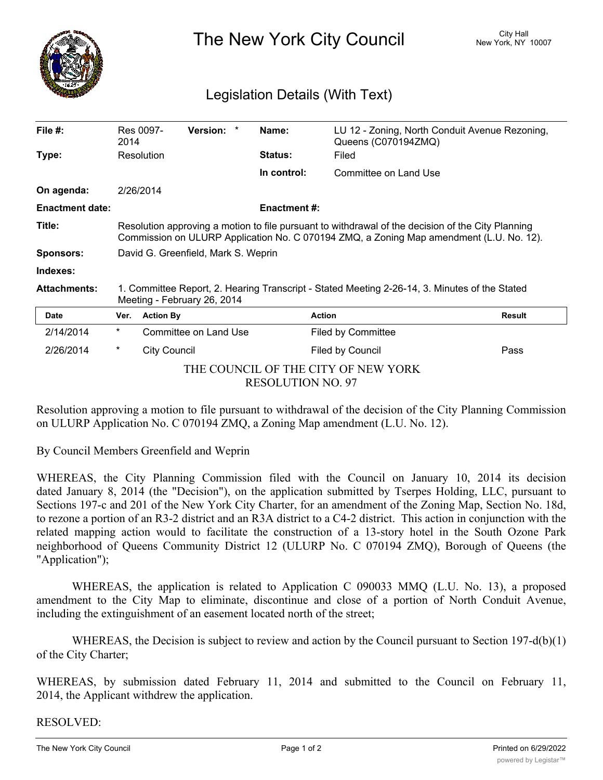

The New York City Council New York, NY 10007

## Legislation Details (With Text)

| File $#$ :                                                               | 2014                                                                                                                                                                                         | Res 0097-             | Version: * |  | Name:               | LU 12 - Zoning, North Conduit Avenue Rezoning,<br>Queens (C070194ZMQ) |        |
|--------------------------------------------------------------------------|----------------------------------------------------------------------------------------------------------------------------------------------------------------------------------------------|-----------------------|------------|--|---------------------|-----------------------------------------------------------------------|--------|
| Type:                                                                    |                                                                                                                                                                                              | Resolution            |            |  | <b>Status:</b>      | Filed                                                                 |        |
|                                                                          |                                                                                                                                                                                              |                       |            |  | In control:         | Committee on Land Use                                                 |        |
| On agenda:                                                               | 2/26/2014                                                                                                                                                                                    |                       |            |  |                     |                                                                       |        |
| <b>Enactment date:</b>                                                   |                                                                                                                                                                                              |                       |            |  | <b>Enactment #:</b> |                                                                       |        |
| Title:                                                                   | Resolution approving a motion to file pursuant to withdrawal of the decision of the City Planning<br>Commission on ULURP Application No. C 070194 ZMQ, a Zoning Map amendment (L.U. No. 12). |                       |            |  |                     |                                                                       |        |
| <b>Sponsors:</b>                                                         | David G. Greenfield, Mark S. Weprin                                                                                                                                                          |                       |            |  |                     |                                                                       |        |
| Indexes:                                                                 |                                                                                                                                                                                              |                       |            |  |                     |                                                                       |        |
| <b>Attachments:</b>                                                      | 1. Committee Report, 2. Hearing Transcript - Stated Meeting 2-26-14, 3. Minutes of the Stated<br>Meeting - February 26, 2014                                                                 |                       |            |  |                     |                                                                       |        |
| <b>Date</b>                                                              | Ver.                                                                                                                                                                                         | <b>Action By</b>      |            |  |                     | <b>Action</b>                                                         | Result |
| 2/14/2014                                                                | $^\ast$                                                                                                                                                                                      | Committee on Land Use |            |  |                     | <b>Filed by Committee</b>                                             |        |
| 2/26/2014                                                                | $^\star$                                                                                                                                                                                     | <b>City Council</b>   |            |  |                     | Filed by Council                                                      | Pass   |
| THE COUNCIL OF THE CITY OF NEW YORK<br><b>B B Q Q T I I TO L I L I Q</b> |                                                                                                                                                                                              |                       |            |  |                     |                                                                       |        |

RESOLUTION NO. 97

Resolution approving a motion to file pursuant to withdrawal of the decision of the City Planning Commission on ULURP Application No. C 070194 ZMQ, a Zoning Map amendment (L.U. No. 12).

By Council Members Greenfield and Weprin

WHEREAS, the City Planning Commission filed with the Council on January 10, 2014 its decision dated January 8, 2014 (the "Decision"), on the application submitted by Tserpes Holding, LLC, pursuant to Sections 197-c and 201 of the New York City Charter, for an amendment of the Zoning Map, Section No. 18d, to rezone a portion of an R3-2 district and an R3A district to a C4-2 district. This action in conjunction with the related mapping action would to facilitate the construction of a 13-story hotel in the South Ozone Park neighborhood of Queens Community District 12 (ULURP No. C 070194 ZMQ), Borough of Queens (the "Application");

WHEREAS, the application is related to Application C 090033 MMQ (L.U. No. 13), a proposed amendment to the City Map to eliminate, discontinue and close of a portion of North Conduit Avenue, including the extinguishment of an easement located north of the street;

WHEREAS, the Decision is subject to review and action by the Council pursuant to Section 197-d(b)(1) of the City Charter;

WHEREAS, by submission dated February 11, 2014 and submitted to the Council on February 11, 2014, the Applicant withdrew the application.

RESOLVED: